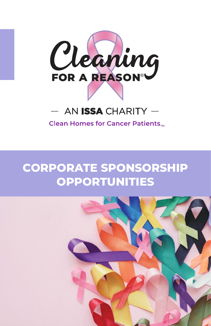

### AN ISSA CHARITY -

**Clean Homes for Cancer Patients<sub>TM</sub>** 

## **CORPORATE SPONSORSHIP OPPORTUNITIES**

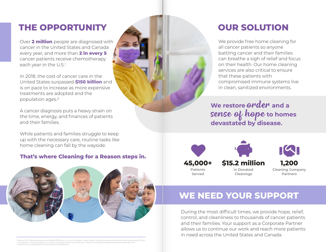## **THE OPPORTUNITY**

Over **2 million** people are diagnosed with cancer in the United States and Canada every year, and more than **2 in every 5** cancer patients receive chemotherapy each year in the U.S.<sup>1</sup>

In 2018, the cost of cancer care in the United States surpassed **\$150 billion** and is on pace to increase as more expensive treatments are adopted and the population ages.2

A cancer diagnosis puts a heavy strain on the time, energy, and finances of patients and their families.

While patients and families struggle to keep up with the necessary care, routine tasks like home cleaning can fall by the wayside.

#### **That's where Cleaning for a Reason steps in.**



1 Statista, 2021: https://www.statista.com/topics/1192/cancer-in-the-us/; Canadian Cancer Society: https://www.cancer.ca/en/cancer-information/cancer-101/can cer-statistics-at-a-glance/?region=on; Centers for Disease Control and Prevention: html 2 https://www.cancer.gov/about-cancer/understanding/statistics

# **OUR SOLUTION**

We provide free home cleaning for all cancer patients so anyone battling cancer and their families can breathe a sigh of relief and focus on their health. Our home cleaning services are also critical to ensure that these patients with compromised immune systems live in clean, sanitized environments.

**We restore** order **and a**  sense of hope **to homes devastated by disease.**



**\$15.2 million in Donated Cleanings**



## **WE NEED YOUR SUPPORT**

During the most difficult times, we provide hope, relief, control, and cleanliness to thousands of cancer patients and their families. Your support as a Corporate Partner allows us to continue our work and reach more patients in need across the United States and Canada.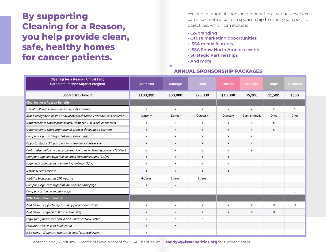## **By supporting Cleaning for a Reason, you help provide clean, safe, healthy homes for cancer patients.**

We offer a range of sponsorship benefits at various levels. You can also create a custom sponsorship to meet your specific objectives, which can include:

- **· Co-branding**
- **· Cause marketing opportunities**
- **· ISSA media features**
- **· ISSA Show North America events**
- **· Strategic Partnerships**
- **· And more!**

#### **ANNUAL SPONSORSHIP PACKAGES**

| Cleaning for a Reason Annual Fund<br><b>Corporate Partner Support Program</b> | Champion     | Courage      | Faith        | Passion   | <b>Strength</b> | Hope             | Advocate |
|-------------------------------------------------------------------------------|--------------|--------------|--------------|-----------|-----------------|------------------|----------|
| Sponsorship Amount                                                            | \$100,000    | \$50,000     | \$25,000     | \$10,000  | \$5,000         | \$1,500          | \$500    |
| Cleaning for a Reason Benefits:                                               |              |              |              |           |                 |                  |          |
| Use of CFR logo in any online and print material                              | X            | X            | X            | X         | X               | $\mathsf{X}$     | X        |
| Brand recognition posts on social media channels-Facebook and LinkedIn        | Monthly      | 6x/year      | Quarterly    | Quarterly | Semi-annually   | Once             | Once     |
| Opportunity to supply promotional items for CFR Week or contests              | x            | $\mathsf{x}$ | X            | X         | X               | $\mathsf{x}$     |          |
| Opportunity to share promotional product discounts to partners                | X            | $\mathsf X$  | X            | X         | X               | $\mathsf{X}$     |          |
| Company logo with hyperlink on sponsor page                                   | x            | X            | $\mathsf X$  | x         | X               |                  |          |
| Opportunity for 3 <sup>rd</sup> party patient cleaning volunteer event        | X            | X            | X            | X         | X               |                  |          |
| Co-branded welcome packet promotion to new cleaning partners (300/yr)         | x            | x            | X            | x         | X               |                  |          |
| Company logo and hyperlink in email communications (12/yr)                    | x            | X            | X            | x         |                 |                  |          |
| Logo and company mention during webinar (9/yr)                                | X            | X            | X            | X         |                 |                  |          |
| National press release                                                        | x            | X            | X            | Х         |                 |                  |          |
| Website blog posts on CFR website                                             | 4x/year      | 2x/year      | 1x/year      |           |                 |                  |          |
| Company logo with hyperlink on website homepage                               | x            | X            |              |           |                 |                  |          |
| Company listing on sponsor page                                               |              |              |              |           |                 | $\boldsymbol{x}$ | x        |
| <b>ISSA Association Benefits:</b>                                             |              |              |              |           |                 |                  |          |
| ISSA Show - Opportunity to supply promotional items                           | x            | X            | X            | x         | X               | X                | X        |
| ISSA Show - Logo on CFR convention bag                                        | X            | X            | X            | X         | $\mathsf{x}$    | X                |          |
| Logo and sponsor mention in ISSA Charities Newsletter                         | $\mathsf{x}$ | $\mathsf X$  | $\pmb{\chi}$ |           |                 |                  |          |
| <b>Feature Article in ISSA Publication</b>                                    | X            | $\mathsf X$  |              |           |                 |                  |          |
| ISSA Show - Signature sponsor of specific special event                       | X            |              |              |           |                 |                  |          |

Contact Sandy Wolfrum, Director of Development for ISSA Charities, at **sandyw@issacharities.org** for further details.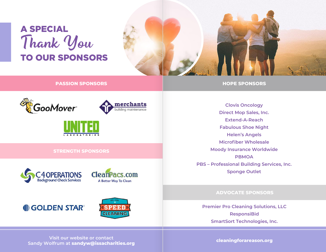# A SPECIAL Thank You TO OUR SPONSORS



**PASSION SPONSORS**







#### **STRENGTH SPONSORS**





## **I** GOLDEN STAR®



**Clovis Oncology Direct Mop Sales, Inc. Extend-A-Reach Fabulous Shoe Night Helen's Angels Microfiber Wholesale Moody Insurance Worldwide PBMOA PBS – Professional Building Services, Inc. Sponge Outlet**

**HOPE SPONSORS**

#### **ADVOCATE SPONSORS**

**Premier Pro Cleaning Solutions, LLC ResponsiBid SmartSort Technologies, Inc.**

**Visit our website or contact Sandy Wolfrum at sandyw@issacharities.org cleaningforareason.org**